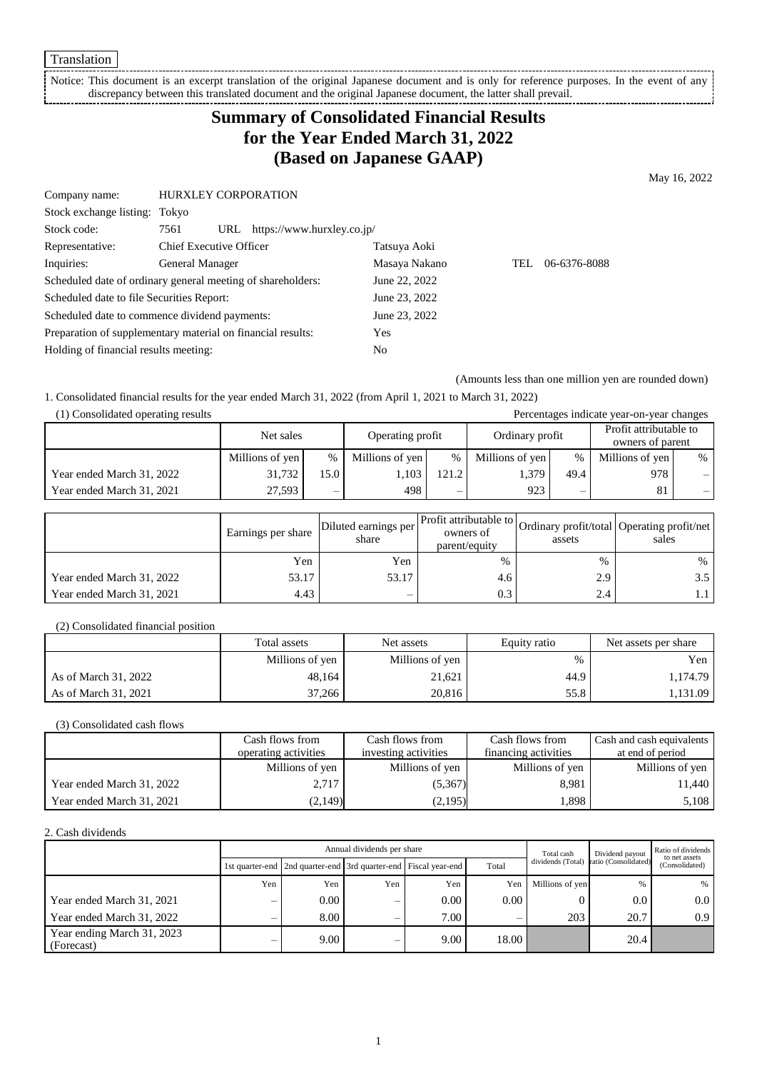Translation

Notice: This document is an excerpt translation of the original Japanese document and is only for reference purposes. In the event of any discrepancy between this translated document and the original Japanese document, the latter shall prevail.

# **Summary of Consolidated Financial Results for the Year Ended March 31, 2022 (Based on Japanese GAAP)**

May 16, 2022

| Company name:                                               | <b>HURXLEY CORPORATION</b>     |               |                            |               |      |              |
|-------------------------------------------------------------|--------------------------------|---------------|----------------------------|---------------|------|--------------|
| Stock exchange listing: Tokyo                               |                                |               |                            |               |      |              |
| Stock code:                                                 | 7561                           | URL           | https://www.hurxley.co.jp/ |               |      |              |
| Representative:                                             | <b>Chief Executive Officer</b> |               |                            | Tatsuya Aoki  |      |              |
| Inquiries:                                                  | General Manager                |               |                            | Masaya Nakano | TEL. | 06-6376-8088 |
| Scheduled date of ordinary general meeting of shareholders: |                                |               | June 22, 2022              |               |      |              |
| Scheduled date to file Securities Report:                   |                                | June 23, 2022 |                            |               |      |              |
| Scheduled date to commence dividend payments:               |                                | June 23, 2022 |                            |               |      |              |
| Preparation of supplementary material on financial results: |                                | Yes           |                            |               |      |              |
| Holding of financial results meeting:                       |                                |               |                            | No            |      |              |
|                                                             |                                |               |                            |               |      |              |

(Amounts less than one million yen are rounded down)

1. Consolidated financial results for the year ended March 31, 2022 (from April 1, 2021 to March 31, 2022)

| (1) Consolidated operating results<br>Percentages indicate year-on-year changes |                 |                          |                  |       |                 |                          |                                            |      |
|---------------------------------------------------------------------------------|-----------------|--------------------------|------------------|-------|-----------------|--------------------------|--------------------------------------------|------|
|                                                                                 | Net sales       |                          | Operating profit |       | Ordinary profit |                          | Profit attributable to<br>owners of parent |      |
|                                                                                 | Millions of yen | $\%$                     | Millions of yen  | %     | Millions of yen | $\%$                     | Millions of yen                            | $\%$ |
| Year ended March 31, 2022                                                       | 31,732          | 15.0                     | 1.103            | 121.2 | 1,379           | 49.4                     | 978                                        |      |
| Year ended March 31, 2021                                                       | 27.593          | $\overline{\phantom{0}}$ | 498              | —     | 923             | $\overline{\phantom{0}}$ | 81                                         | —    |

|                           | Earnings per share | Diluted earnings per<br>share | parent/equity | assets | Profit attributable to Ordinary profit/total Operating profit/net '<br>sales |
|---------------------------|--------------------|-------------------------------|---------------|--------|------------------------------------------------------------------------------|
|                           | Yen                | Yen                           | %             | $\%$   | $\%$                                                                         |
| Year ended March 31, 2022 | 53.17              | 53.17                         | 4.6           | 2.9    |                                                                              |
| Year ended March 31, 2021 | 4.43               | -                             | 0.3           | 2.4    |                                                                              |

#### (2) Consolidated financial position

|                      | Total assets    | Net assets      | Equity ratio | Net assets per share |
|----------------------|-----------------|-----------------|--------------|----------------------|
|                      | Millions of yen | Millions of yen | %            | Yen                  |
| As of March 31, 2022 | 48.164          | 21.621          | 44.9         | 1,174.79             |
| As of March 31, 2021 | 37,266          | 20,816          | 55.8         | 1,131.09             |

#### (3) Consolidated cash flows

|                           | Cash flows from      | Cash flows from      | Cash flows from      | Cash and cash equivalents |
|---------------------------|----------------------|----------------------|----------------------|---------------------------|
|                           | operating activities | investing activities | financing activities | at end of period          |
|                           | Millions of yen      | Millions of yen      | Millions of yen      | Millions of yen           |
| Year ended March 31, 2022 | 2,717                | (5,367)              | 8.981                | 11,440                    |
| Year ended March 31, 2021 | (2,149)              | (2,195)              | 1,898                | 5,108                     |

#### 2. Cash dividends

|                                          | Annual dividends per share |                                                                       |     |      |       |                   | Dividend payout      | Ratio of dividends<br>to net assets |
|------------------------------------------|----------------------------|-----------------------------------------------------------------------|-----|------|-------|-------------------|----------------------|-------------------------------------|
|                                          |                            | 1st quarter-end   2nd quarter-end   3rd quarter-end   Fiscal year-end |     |      | Total | dividends (Total) | ratio (Consolidated) | (Consolidated)                      |
|                                          | Yen                        | Yen                                                                   | Yen | Yen  | Yen   | Millions of yen   | %                    |                                     |
| Year ended March 31, 2021                | –                          | 0.00                                                                  | —   | 0.00 | 0.00  |                   | $0.0\,$              | 0.0                                 |
| Year ended March 31, 2022                |                            | 8.00                                                                  |     | 7.00 |       | 203               | 20.7                 | 0.9                                 |
| Year ending March 31, 2023<br>(Forecast) | _                          | 9.00                                                                  | _   | 9.00 | 18.00 |                   | 20.4                 |                                     |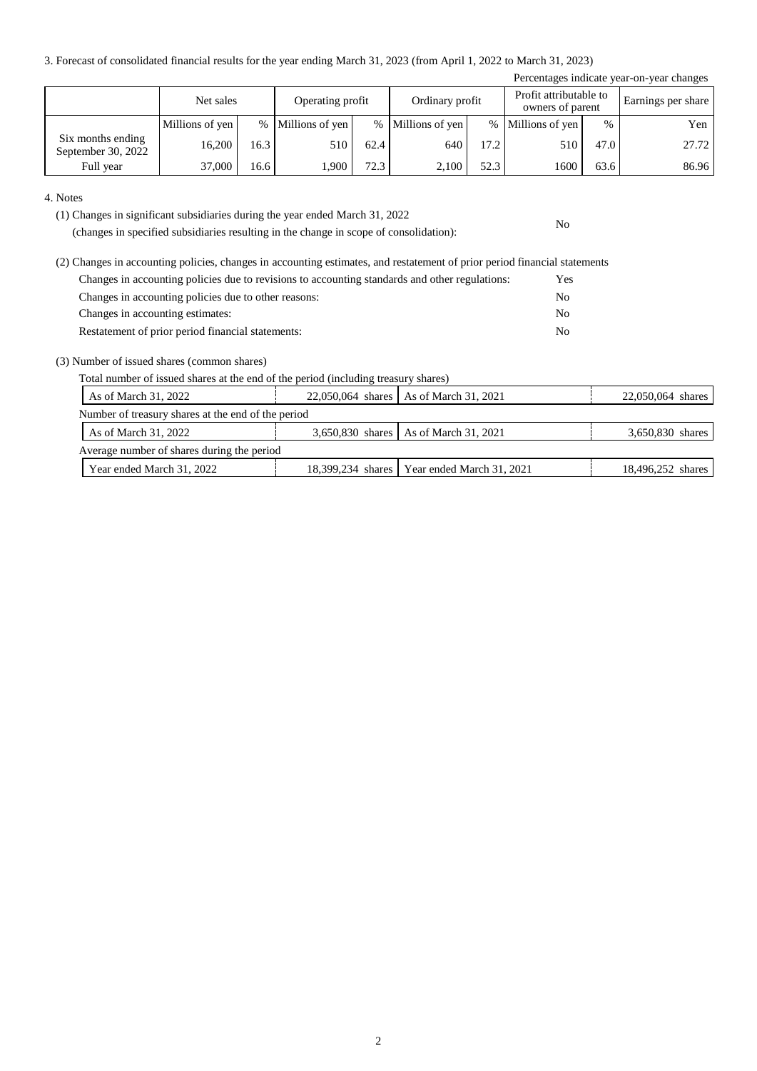3. Forecast of consolidated financial results for the year ending March 31, 2023 (from April 1, 2022 to March 31, 2023)

| Percentages indicate year-on-year changes |                 |      |                   |      |                   |      |                                            |      |                    |
|-------------------------------------------|-----------------|------|-------------------|------|-------------------|------|--------------------------------------------|------|--------------------|
|                                           | Net sales       |      | Operating profit  |      | Ordinary profit   |      | Profit attributable to<br>owners of parent |      | Earnings per share |
|                                           | Millions of yen |      | % Millions of yen |      | % Millions of yen |      | % Millions of yen                          | $\%$ | Yen                |
| Six months ending<br>September 30, 2022   | 16.200          | 16.3 | 510               | 62.4 | 640               | 17.2 | 510                                        | 47.0 | 27.72              |
| Full year                                 | 37,000          | 16.6 | .900              | 72.3 | 2,100             | 52.3 | 1600                                       | 63.6 | 86.96              |

No

4. Notes

(1) Changes in significant subsidiaries during the year ended March 31, 2022

(changes in specified subsidiaries resulting in the change in scope of consolidation):

| (2) Changes in accounting policies, changes in accounting estimates, and restatement of prior period financial statements |                |
|---------------------------------------------------------------------------------------------------------------------------|----------------|
| Changes in accounting policies due to revisions to accounting standards and other regulations:                            | <b>Yes</b>     |
| Changes in accounting policies due to other reasons:                                                                      | No             |
| Changes in accounting estimates:                                                                                          | N <sub>0</sub> |
| Restatement of prior period financial statements:                                                                         | N <sub>0</sub> |

(3) Number of issued shares (common shares)

Total number of issued shares at the end of the period (including treasury shares)

| As of March 31, 2022                               |  | 22,050,064 shares   As of March 31, 2021      | 22,050,064 shares |  |  |  |  |
|----------------------------------------------------|--|-----------------------------------------------|-------------------|--|--|--|--|
| Number of treasury shares at the end of the period |  |                                               |                   |  |  |  |  |
| As of March 31, 2022                               |  | 3,650,830 shares   As of March 31, 2021       | 3,650,830 shares  |  |  |  |  |
| Average number of shares during the period         |  |                                               |                   |  |  |  |  |
| Year ended March 31, 2022                          |  | 18,399,234 shares   Year ended March 31, 2021 | 18,496,252 shares |  |  |  |  |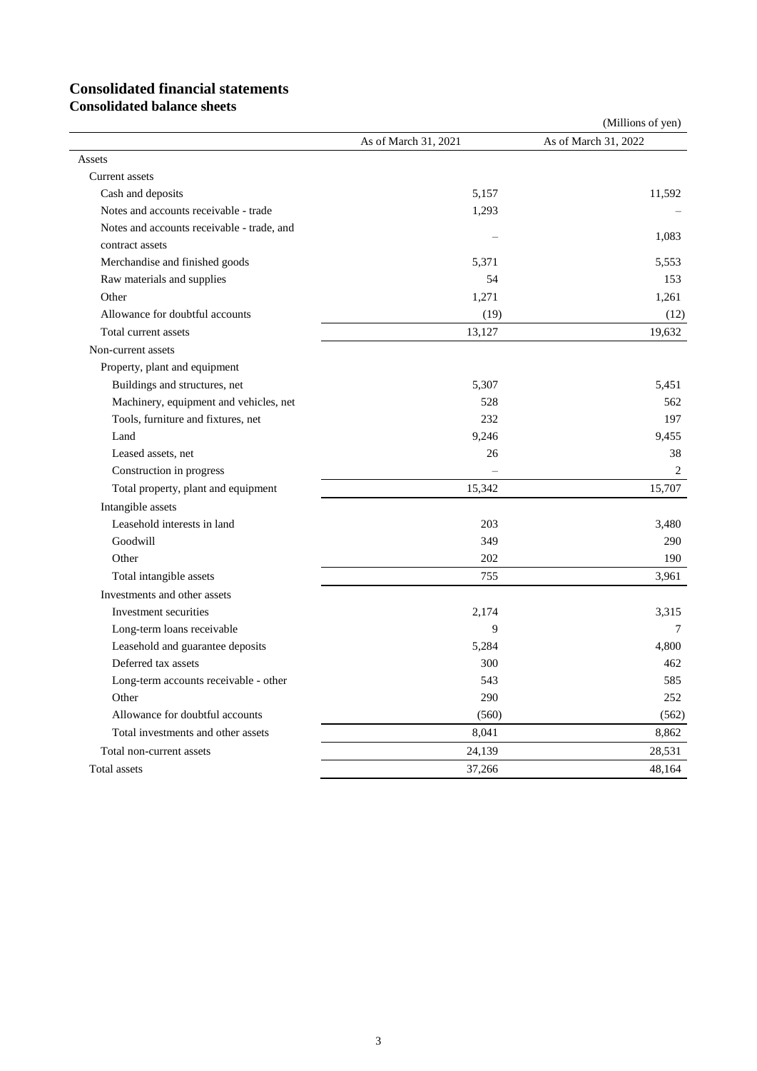# **Consolidated financial statements**

**Consolidated balance sheets**

|                                            |                      | (Millions of yen)    |  |
|--------------------------------------------|----------------------|----------------------|--|
|                                            | As of March 31, 2021 | As of March 31, 2022 |  |
| Assets                                     |                      |                      |  |
| Current assets                             |                      |                      |  |
| Cash and deposits                          | 5,157                | 11,592               |  |
| Notes and accounts receivable - trade      | 1,293                |                      |  |
| Notes and accounts receivable - trade, and |                      | 1.083                |  |
| contract assets                            |                      |                      |  |
| Merchandise and finished goods             | 5,371                | 5,553                |  |
| Raw materials and supplies                 | 54                   | 153                  |  |
| Other                                      | 1,271                | 1,261                |  |
| Allowance for doubtful accounts            | (19)                 | (12)                 |  |
| Total current assets                       | 13,127               | 19,632               |  |
| Non-current assets                         |                      |                      |  |
| Property, plant and equipment              |                      |                      |  |
| Buildings and structures, net              | 5,307                | 5.451                |  |
| Machinery, equipment and vehicles, net     | 528                  | 562                  |  |
| Tools, furniture and fixtures, net         | 232                  | 197                  |  |
| Land                                       | 9,246                | 9,455                |  |
| Leased assets, net                         | 26                   | 38                   |  |
| Construction in progress                   |                      | 2                    |  |
| Total property, plant and equipment        | 15,342               | 15,707               |  |
| Intangible assets                          |                      |                      |  |
| Leasehold interests in land                | 203                  | 3,480                |  |
| Goodwill                                   | 349                  | 290                  |  |
| Other                                      | 202                  | 190                  |  |
| Total intangible assets                    | 755                  | 3,961                |  |
| Investments and other assets               |                      |                      |  |
| Investment securities                      | 2,174                | 3,315                |  |
| Long-term loans receivable                 | 9                    | 7                    |  |
| Leasehold and guarantee deposits           | 5,284                | 4,800                |  |
| Deferred tax assets                        | 300                  | 462                  |  |
| Long-term accounts receivable - other      | 543                  | 585                  |  |
| Other                                      | 290                  | 252                  |  |
| Allowance for doubtful accounts            | (560)                | (562)                |  |
| Total investments and other assets         | 8,041                | 8,862                |  |
| Total non-current assets                   | 24,139               | 28,531               |  |
| Total assets                               | 37,266               | 48,164               |  |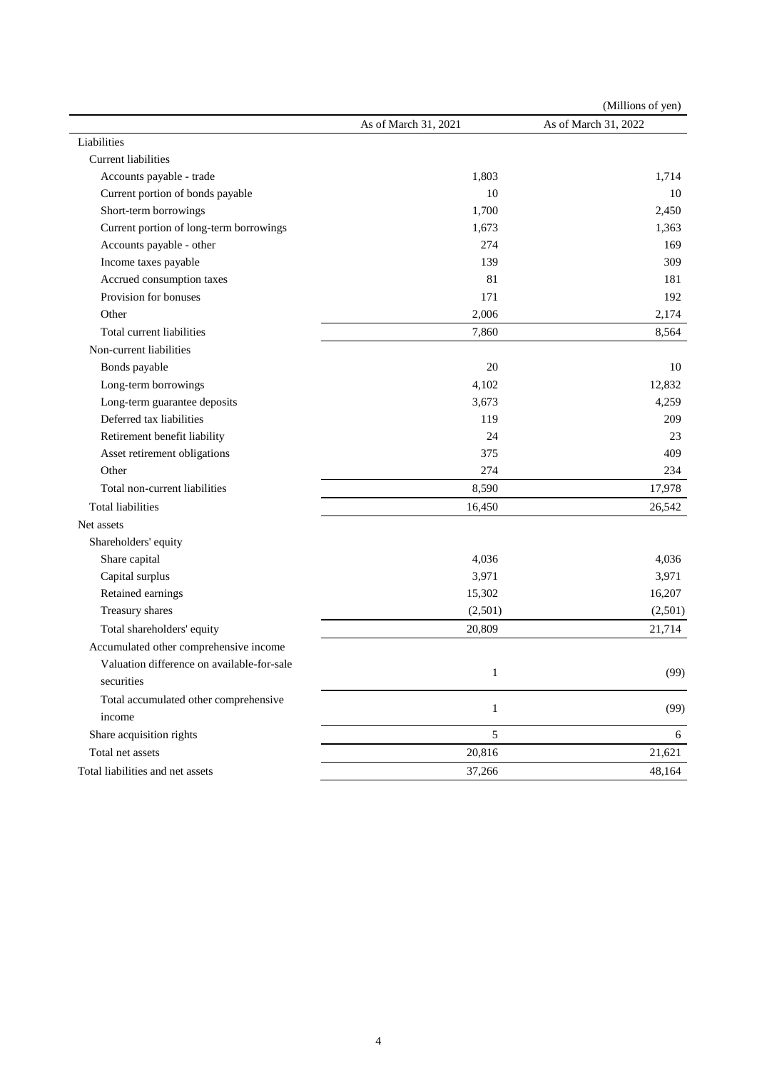|                                            |                      | (Millions of yen)    |
|--------------------------------------------|----------------------|----------------------|
|                                            | As of March 31, 2021 | As of March 31, 2022 |
| Liabilities                                |                      |                      |
| <b>Current liabilities</b>                 |                      |                      |
| Accounts payable - trade                   | 1,803                | 1,714                |
| Current portion of bonds payable           | 10                   | 10                   |
| Short-term borrowings                      | 1,700                | 2,450                |
| Current portion of long-term borrowings    | 1,673                | 1,363                |
| Accounts payable - other                   | 274                  | 169                  |
| Income taxes payable                       | 139                  | 309                  |
| Accrued consumption taxes                  | 81                   | 181                  |
| Provision for bonuses                      | 171                  | 192                  |
| Other                                      | 2,006                | 2,174                |
| Total current liabilities                  | 7,860                | 8,564                |
| Non-current liabilities                    |                      |                      |
| Bonds payable                              | 20                   | 10                   |
| Long-term borrowings                       | 4,102                | 12,832               |
| Long-term guarantee deposits               | 3,673                | 4,259                |
| Deferred tax liabilities                   | 119                  | 209                  |
| Retirement benefit liability               | 24                   | 23                   |
| Asset retirement obligations               | 375                  | 409                  |
| Other                                      | 274                  | 234                  |
| Total non-current liabilities              | 8,590                | 17,978               |
| <b>Total liabilities</b>                   | 16,450               | 26,542               |
| Net assets                                 |                      |                      |
| Shareholders' equity                       |                      |                      |
| Share capital                              | 4,036                | 4,036                |
| Capital surplus                            | 3,971                | 3,971                |
| Retained earnings                          | 15,302               | 16,207               |
| Treasury shares                            | (2,501)              | (2,501)              |
| Total shareholders' equity                 | 20,809               | 21,714               |
| Accumulated other comprehensive income     |                      |                      |
| Valuation difference on available-for-sale |                      |                      |
| securities                                 | 1                    | (99)                 |
| Total accumulated other comprehensive      |                      |                      |
| income                                     | $\mathbf{1}$         | (99)                 |
| Share acquisition rights                   | 5                    | 6                    |
| Total net assets                           | 20,816               | 21,621               |
| Total liabilities and net assets           | 37,266               | 48,164               |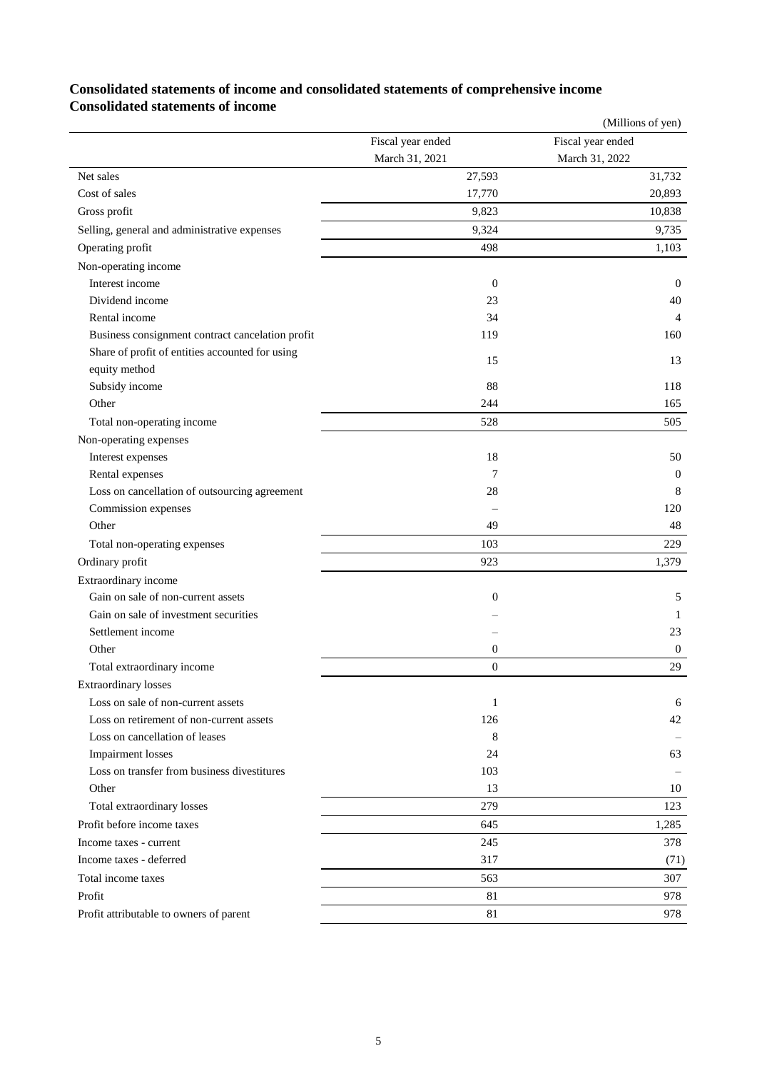### **Consolidated statements of income and consolidated statements of comprehensive income Consolidated statements of income**

|                                                  |                   | (Millions of yen) |
|--------------------------------------------------|-------------------|-------------------|
|                                                  | Fiscal year ended | Fiscal year ended |
|                                                  | March 31, 2021    | March 31, 2022    |
| Net sales                                        | 27,593            | 31,732            |
| Cost of sales                                    | 17,770            | 20,893            |
| Gross profit                                     | 9,823             | 10,838            |
| Selling, general and administrative expenses     | 9,324             | 9,735             |
| Operating profit                                 | 498               | 1,103             |
| Non-operating income                             |                   |                   |
| Interest income                                  | $\boldsymbol{0}$  | $\boldsymbol{0}$  |
| Dividend income                                  | 23                | 40                |
| Rental income                                    | 34                | 4                 |
| Business consignment contract cancelation profit | 119               | 160               |
| Share of profit of entities accounted for using  | 15                | 13                |
| equity method                                    |                   |                   |
| Subsidy income                                   | 88                | 118               |
| Other                                            | 244               | 165               |
| Total non-operating income                       | 528               | 505               |
| Non-operating expenses                           |                   |                   |
| Interest expenses                                | 18                | 50                |
| Rental expenses                                  | 7                 | $\boldsymbol{0}$  |
| Loss on cancellation of outsourcing agreement    | 28                | 8                 |
| Commission expenses                              |                   | 120               |
| Other                                            | 49                | 48                |
| Total non-operating expenses                     | 103               | 229               |
| Ordinary profit                                  | 923               | 1,379             |
| Extraordinary income                             |                   |                   |
| Gain on sale of non-current assets               | $\mathbf{0}$      | 5                 |
| Gain on sale of investment securities            |                   | 1                 |
| Settlement income                                |                   | 23                |
| Other                                            | $\mathbf{0}$      | 0                 |
| Total extraordinary income                       | $\theta$          | 29                |
| <b>Extraordinary losses</b>                      |                   |                   |
| Loss on sale of non-current assets               | 1                 | 6                 |
| Loss on retirement of non-current assets         | 126               | 42                |
| Loss on cancellation of leases                   | 8                 |                   |
| Impairment losses                                | 24                | 63                |
| Loss on transfer from business divestitures      | 103               |                   |
| Other                                            | 13                | 10                |
| Total extraordinary losses                       | 279               | 123               |
| Profit before income taxes                       | 645               | 1,285             |
| Income taxes - current                           | 245               | 378               |
| Income taxes - deferred                          | 317               | (71)              |
| Total income taxes                               | 563               | 307               |
| Profit                                           | 81                | 978               |
| Profit attributable to owners of parent          | 81                | 978               |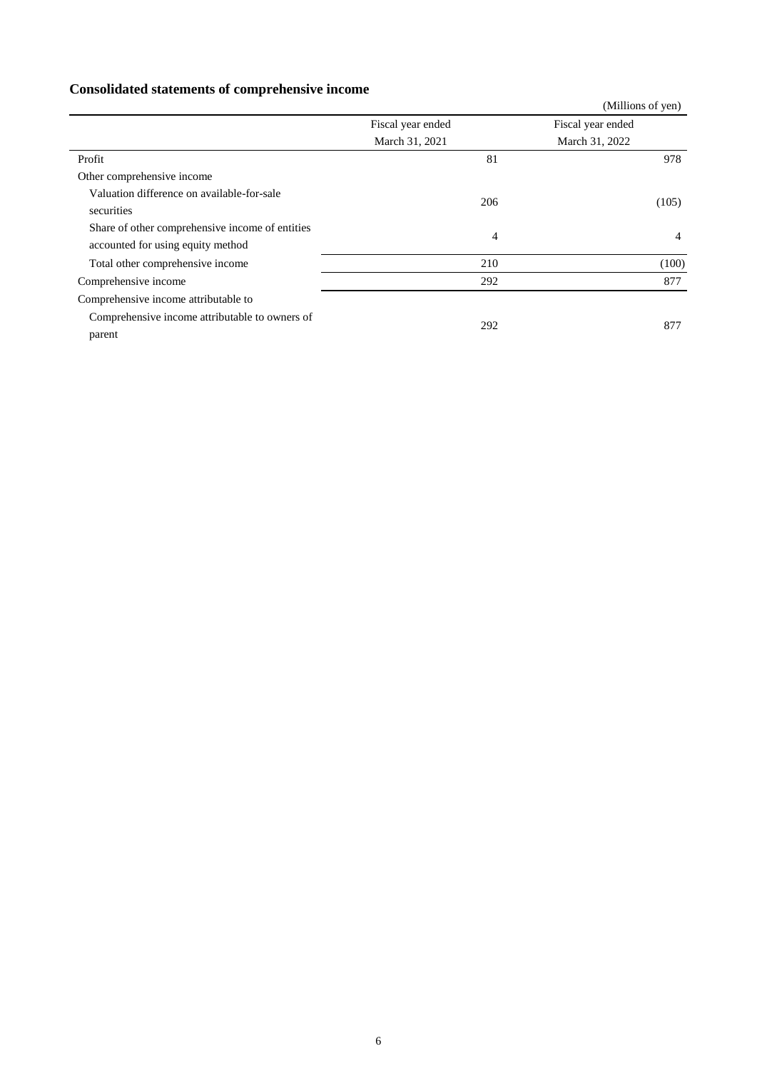## **Consolidated statements of comprehensive income**

|                                                                                                  |                   | (Millions of yen) |
|--------------------------------------------------------------------------------------------------|-------------------|-------------------|
|                                                                                                  | Fiscal year ended | Fiscal year ended |
|                                                                                                  | March 31, 2021    | March 31, 2022    |
| Profit                                                                                           | 81                | 978               |
| Other comprehensive income                                                                       |                   |                   |
| Valuation difference on available-for-sale<br>securities                                         | 206               | (105)             |
| Share of other comprehensive income of entities<br>accounted for using equity method             | $\overline{4}$    | 4                 |
| Total other comprehensive income                                                                 | 210               | (100)             |
| Comprehensive income                                                                             | 292               | 877               |
| Comprehensive income attributable to<br>Comprehensive income attributable to owners of<br>parent | 292               | 877               |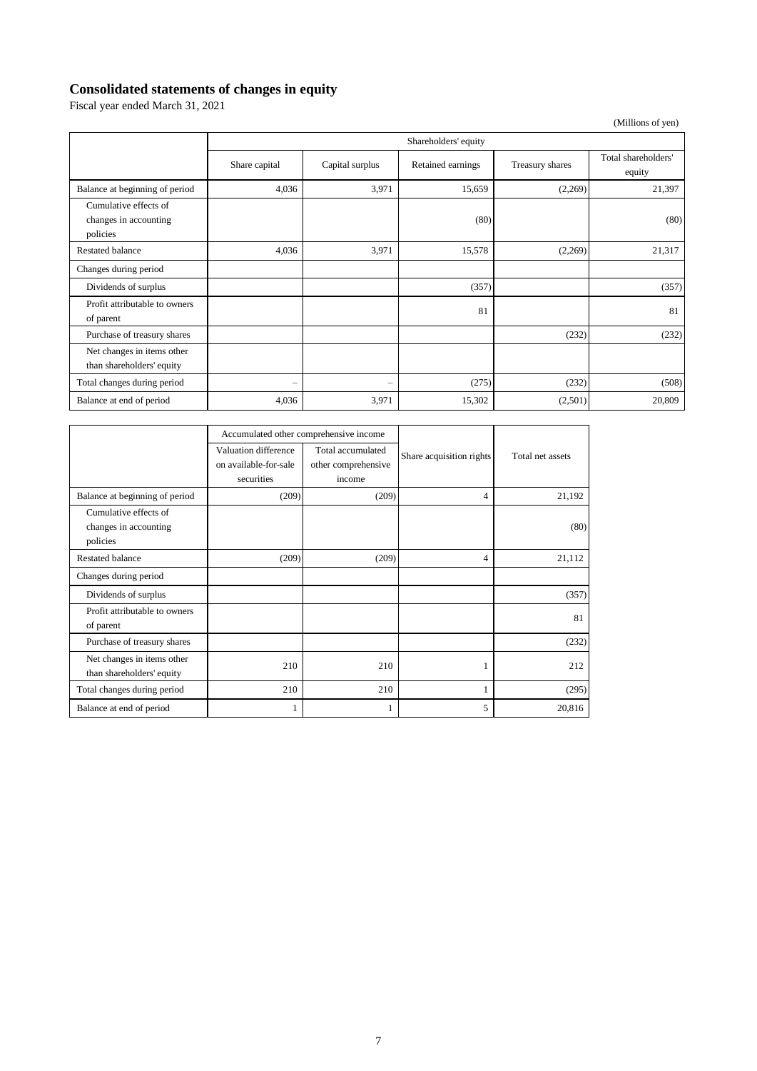## **Consolidated statements of changes in equity**

Fiscal year ended March 31, 2021

(Millions of yen)

|                                                            | Shareholders' equity     |                          |                   |                 |                               |
|------------------------------------------------------------|--------------------------|--------------------------|-------------------|-----------------|-------------------------------|
|                                                            | Share capital            | Capital surplus          | Retained earnings | Treasury shares | Total shareholders'<br>equity |
| Balance at beginning of period                             | 4,036                    | 3,971                    | 15,659            | (2,269)         | 21,397                        |
| Cumulative effects of<br>changes in accounting<br>policies |                          |                          | (80)              |                 | (80)                          |
| <b>Restated balance</b>                                    | 4,036                    | 3,971                    | 15,578            | (2,269)         | 21,317                        |
| Changes during period                                      |                          |                          |                   |                 |                               |
| Dividends of surplus                                       |                          |                          | (357)             |                 | (357)                         |
| Profit attributable to owners<br>of parent                 |                          |                          | 81                |                 | 81                            |
| Purchase of treasury shares                                |                          |                          |                   | (232)           | (232)                         |
| Net changes in items other<br>than shareholders' equity    |                          |                          |                   |                 |                               |
| Total changes during period                                | $\overline{\phantom{0}}$ | $\overline{\phantom{0}}$ | (275)             | (232)           | (508)                         |
| Balance at end of period                                   | 4,036                    | 3,971                    | 15,302            | (2,501)         | 20,809                        |

|                                                            | Accumulated other comprehensive income                      |                                                    |                          |                  |
|------------------------------------------------------------|-------------------------------------------------------------|----------------------------------------------------|--------------------------|------------------|
|                                                            | Valuation difference<br>on available-for-sale<br>securities | Total accumulated<br>other comprehensive<br>income | Share acquisition rights | Total net assets |
| Balance at beginning of period                             | (209)                                                       | (209)                                              | 4                        | 21,192           |
| Cumulative effects of<br>changes in accounting<br>policies |                                                             |                                                    |                          | (80)             |
| Restated balance                                           | (209)                                                       | (209)                                              | 4                        | 21,112           |
| Changes during period                                      |                                                             |                                                    |                          |                  |
| Dividends of surplus                                       |                                                             |                                                    |                          | (357)            |
| Profit attributable to owners<br>of parent                 |                                                             |                                                    |                          | 81               |
| Purchase of treasury shares                                |                                                             |                                                    |                          | (232)            |
| Net changes in items other<br>than shareholders' equity    | 210                                                         | 210                                                |                          | 212              |
| Total changes during period                                | 210                                                         | 210                                                | 1                        | (295)            |
| Balance at end of period                                   | 1                                                           |                                                    | 5                        | 20,816           |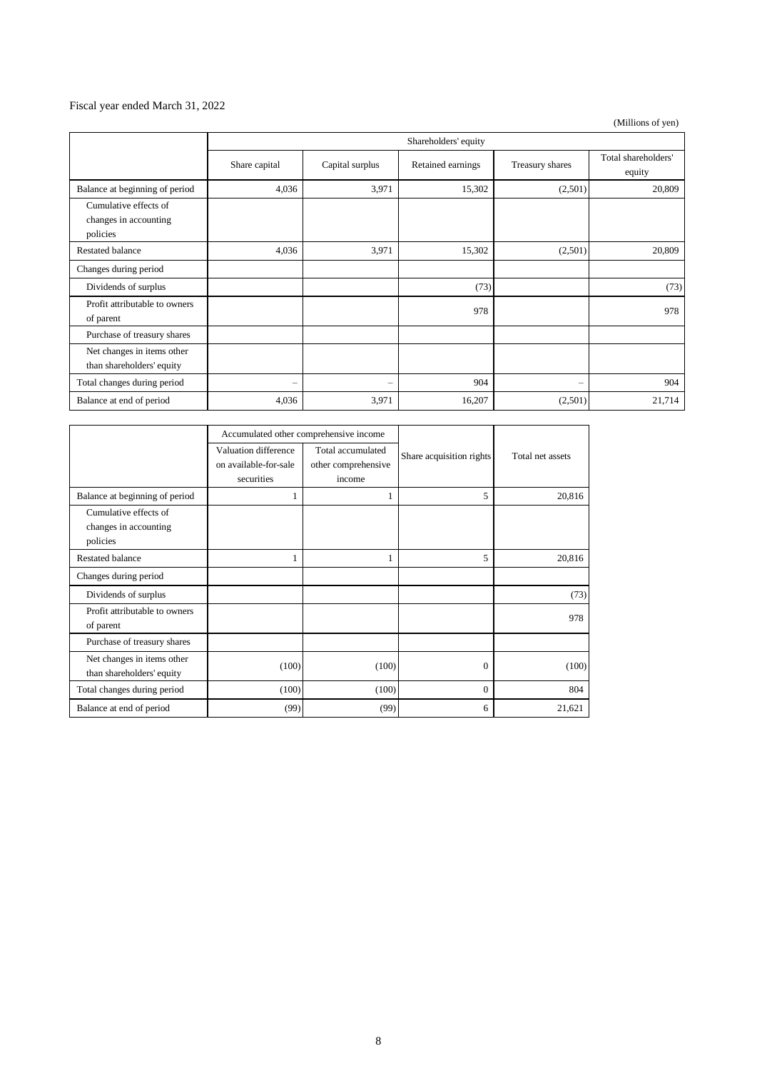### Fiscal year ended March 31, 2022

(Millions of yen)

|                                                            | Shareholders' equity |                   |                   |                   |                               |
|------------------------------------------------------------|----------------------|-------------------|-------------------|-------------------|-------------------------------|
|                                                            | Share capital        | Capital surplus   | Retained earnings | Treasury shares   | Total shareholders'<br>equity |
| Balance at beginning of period                             | 4,036                | 3,971             | 15,302            | (2,501)           | 20,809                        |
| Cumulative effects of<br>changes in accounting<br>policies |                      |                   |                   |                   |                               |
| <b>Restated balance</b>                                    | 4,036                | 3,971             | 15,302            | (2,501)           | 20,809                        |
| Changes during period                                      |                      |                   |                   |                   |                               |
| Dividends of surplus                                       |                      |                   | (73)              |                   | (73)                          |
| Profit attributable to owners<br>of parent                 |                      |                   | 978               |                   | 978                           |
| Purchase of treasury shares                                |                      |                   |                   |                   |                               |
| Net changes in items other<br>than shareholders' equity    |                      |                   |                   |                   |                               |
| Total changes during period                                | $\qquad \qquad -$    | $\qquad \qquad -$ | 904               | $\qquad \qquad -$ | 904                           |
| Balance at end of period                                   | 4,036                | 3,971             | 16,207            | (2,501)           | 21,714                        |

|                                                            | Accumulated other comprehensive income                      |                                                    |                          |                  |
|------------------------------------------------------------|-------------------------------------------------------------|----------------------------------------------------|--------------------------|------------------|
|                                                            | Valuation difference<br>on available-for-sale<br>securities | Total accumulated<br>other comprehensive<br>income | Share acquisition rights | Total net assets |
| Balance at beginning of period                             | 1                                                           | 1                                                  | 5                        | 20,816           |
| Cumulative effects of<br>changes in accounting<br>policies |                                                             |                                                    |                          |                  |
| Restated balance                                           |                                                             | 1                                                  | 5                        | 20,816           |
| Changes during period                                      |                                                             |                                                    |                          |                  |
| Dividends of surplus                                       |                                                             |                                                    |                          | (73)             |
| Profit attributable to owners<br>of parent                 |                                                             |                                                    |                          | 978              |
| Purchase of treasury shares                                |                                                             |                                                    |                          |                  |
| Net changes in items other<br>than shareholders' equity    | (100)                                                       | (100)                                              | $\mathbf{0}$             | (100)            |
| Total changes during period                                | (100)                                                       | (100)                                              | $\mathbf{0}$             | 804              |
| Balance at end of period                                   | (99)                                                        | (99)                                               | 6                        | 21,621           |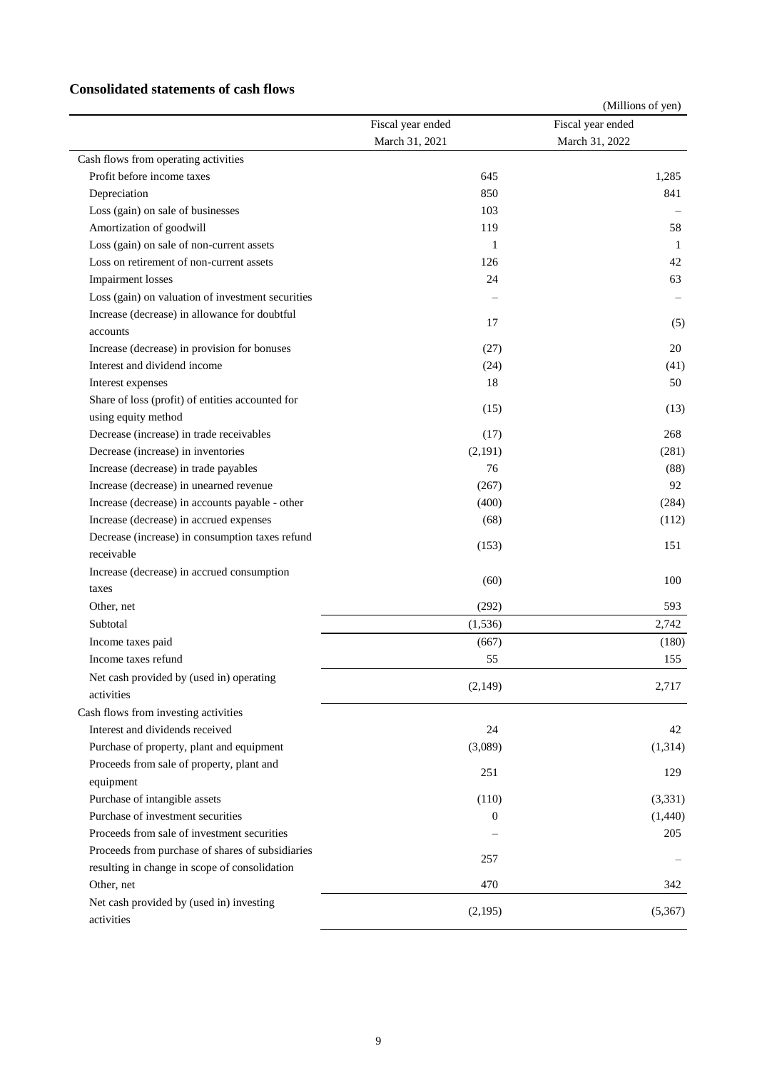### **Consolidated statements of cash flows**

|                                                   |                   | (Millions of yen) |
|---------------------------------------------------|-------------------|-------------------|
|                                                   | Fiscal year ended | Fiscal year ended |
|                                                   | March 31, 2021    | March 31, 2022    |
| Cash flows from operating activities              |                   |                   |
| Profit before income taxes                        | 645               | 1,285             |
| Depreciation                                      | 850               | 841               |
| Loss (gain) on sale of businesses                 | 103               |                   |
| Amortization of goodwill                          | 119               | 58                |
| Loss (gain) on sale of non-current assets         | $\mathbf{1}$      | 1                 |
| Loss on retirement of non-current assets          | 126               | 42                |
| <b>Impairment</b> losses                          | 24                | 63                |
| Loss (gain) on valuation of investment securities |                   |                   |
| Increase (decrease) in allowance for doubtful     | 17                | (5)               |
| accounts                                          |                   |                   |
| Increase (decrease) in provision for bonuses      | (27)              | 20                |
| Interest and dividend income                      | (24)              | (41)              |
| Interest expenses                                 | 18                | 50                |
| Share of loss (profit) of entities accounted for  | (15)              | (13)              |
| using equity method                               |                   |                   |
| Decrease (increase) in trade receivables          | (17)              | 268               |
| Decrease (increase) in inventories                | (2,191)           | (281)             |
| Increase (decrease) in trade payables             | 76                | (88)              |
| Increase (decrease) in unearned revenue           | (267)             | 92                |
| Increase (decrease) in accounts payable - other   | (400)             | (284)             |
| Increase (decrease) in accrued expenses           | (68)              | (112)             |
| Decrease (increase) in consumption taxes refund   | (153)             | 151               |
| receivable                                        |                   |                   |
| Increase (decrease) in accrued consumption        | (60)              | 100               |
| taxes                                             |                   |                   |
| Other, net                                        | (292)             | 593               |
| Subtotal                                          | (1, 536)          | 2,742             |
| Income taxes paid                                 | (667)             | (180)             |
| Income taxes refund                               | 55                | 155               |
| Net cash provided by (used in) operating          |                   |                   |
| activities                                        | (2,149)           | 2,717             |
| Cash flows from investing activities              |                   |                   |
| Interest and dividends received                   | 24                | 42                |
| Purchase of property, plant and equipment         | (3,089)           | (1, 314)          |
| Proceeds from sale of property, plant and         |                   |                   |
| equipment                                         | 251               | 129               |
| Purchase of intangible assets                     | (110)             | (3,331)           |
| Purchase of investment securities                 | $\theta$          | (1,440)           |
| Proceeds from sale of investment securities       |                   | 205               |
| Proceeds from purchase of shares of subsidiaries  |                   |                   |
| resulting in change in scope of consolidation     | 257               |                   |
| Other, net                                        | 470               | 342               |
| Net cash provided by (used in) investing          |                   |                   |
| activities                                        | (2,195)           | (5,367)           |